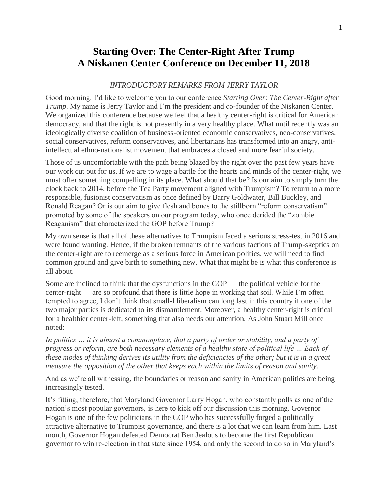## **Starting Over: The Center-Right After Trump A Niskanen Center Conference on December 11, 2018**

## *INTRODUCTORY REMARKS FROM JERRY TAYLOR*

Good morning. I'd like to welcome you to our conference *Starting Over: The Center-Right after Trump*. My name is Jerry Taylor and I'm the president and co-founder of the Niskanen Center. We organized this conference because we feel that a healthy center-right is critical for American democracy, and that the right is not presently in a very healthy place. What until recently was an ideologically diverse coalition of business-oriented economic conservatives, neo-conservatives, social conservatives, reform conservatives, and libertarians has transformed into an angry, antiintellectual ethno-nationalist movement that embraces a closed and more fearful society.

Those of us uncomfortable with the path being blazed by the right over the past few years have our work cut out for us. If we are to wage a battle for the hearts and minds of the center-right, we must offer something compelling in its place. What should that be? Is our aim to simply turn the clock back to 2014, before the Tea Party movement aligned with Trumpism? To return to a more responsible, fusionist conservatism as once defined by Barry Goldwater, Bill Buckley, and Ronald Reagan? Or is our aim to give flesh and bones to the stillborn "reform conservatism" promoted by some of the speakers on our program today, who once derided the "zombie Reaganism" that characterized the GOP before Trump?

My own sense is that all of these alternatives to Trumpism faced a serious stress-test in 2016 and were found wanting. Hence, if the broken remnants of the various factions of Trump-skeptics on the center-right are to reemerge as a serious force in American politics, we will need to find common ground and give birth to something new. What that might be is what this conference is all about.

Some are inclined to think that the dysfunctions in the GOP — the political vehicle for the center-right — are so profound that there is little hope in working that soil. While I'm often tempted to agree, I don't think that small-l liberalism can long last in this country if one of the two major parties is dedicated to its dismantlement. Moreover, a healthy center-right is critical for a healthier center-left, something that also needs our attention. As John Stuart Mill once noted:

*In politics … it is almost a commonplace, that a party of order or stability, and a party of progress or reform, are both necessary elements of a healthy state of political life ... Each of these modes of thinking derives its utility from the deficiencies of the other; but it is in a great measure the opposition of the other that keeps each within the limits of reason and sanity.*

And as we're all witnessing, the boundaries or reason and sanity in American politics are being increasingly tested.

It's fitting, therefore, that Maryland Governor Larry Hogan, who constantly polls as one of the nation's most popular governors, is here to kick off our discussion this morning. Governor Hogan is one of the few politicians in the GOP who has successfully forged a politically attractive alternative to Trumpist governance, and there is a lot that we can learn from him. Last month, Governor Hogan defeated Democrat Ben Jealous to become the first Republican governor to win re-election in that state since 1954, and only the second to do so in Maryland's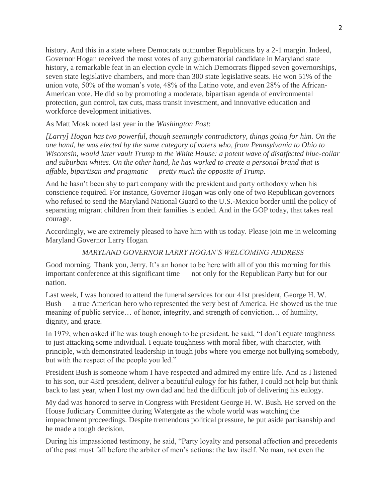history. And this in a state where Democrats outnumber Republicans by a 2-1 margin. Indeed, Governor Hogan received the most votes of any gubernatorial candidate in Maryland state history, a remarkable feat in an election cycle in which Democrats flipped seven governorships, seven state legislative chambers, and more than 300 state legislative seats. He won 51% of the union vote, 50% of the woman's vote, 48% of the Latino vote, and even 28% of the African-American vote. He did so by promoting a moderate, bipartisan agenda of environmental protection, gun control, tax cuts, mass transit investment, and innovative education and workforce development initiatives.

As Matt Mosk noted last year in the *Washington Post*:

*[Larry] Hogan has two powerful, though seemingly contradictory, things going for him. On the one hand, he was elected by the same category of voters who, from Pennsylvania to Ohio to Wisconsin, would later vault Trump to the White House: a potent wave of disaffected blue-collar and suburban whites. On the other hand, he has worked to create a personal brand that is affable, bipartisan and pragmatic — pretty much the opposite of Trump.*

And he hasn't been shy to part company with the president and party orthodoxy when his conscience required. For instance, Governor Hogan was only one of two Republican governors who refused to send the Maryland National Guard to the U.S.-Mexico border until the policy of separating migrant children from their families is ended. And in the GOP today, that takes real courage.

Accordingly, we are extremely pleased to have him with us today. Please join me in welcoming Maryland Governor Larry Hogan.

## *MARYLAND GOVERNOR LARRY HOGAN'S WELCOMING ADDRESS*

Good morning. Thank you, Jerry. It's an honor to be here with all of you this morning for this important conference at this significant time — not only for the Republican Party but for our nation.

Last week, I was honored to attend the funeral services for our 41st president, George H. W. Bush — a true American hero who represented the very best of America. He showed us the true meaning of public service… of honor, integrity, and strength of conviction… of humility, dignity, and grace.

In 1979, when asked if he was tough enough to be president, he said, "I don't equate toughness to just attacking some individual. I equate toughness with moral fiber, with character, with principle, with demonstrated leadership in tough jobs where you emerge not bullying somebody, but with the respect of the people you led."

President Bush is someone whom I have respected and admired my entire life. And as I listened to his son, our 43rd president, deliver a beautiful eulogy for his father, I could not help but think back to last year, when I lost my own dad and had the difficult job of delivering his eulogy.

My dad was honored to serve in Congress with President George H. W. Bush. He served on the House Judiciary Committee during Watergate as the whole world was watching the impeachment proceedings. Despite tremendous political pressure, he put aside partisanship and he made a tough decision.

During his impassioned testimony, he said, "Party loyalty and personal affection and precedents of the past must fall before the arbiter of men's actions: the law itself. No man, not even the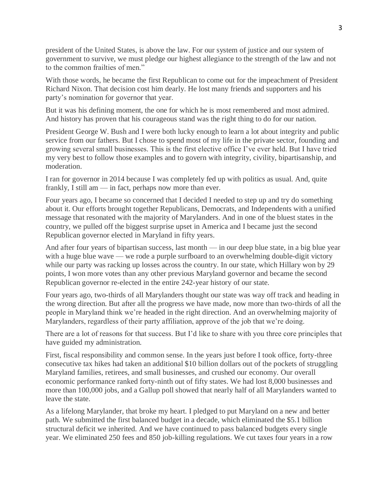president of the United States, is above the law. For our system of justice and our system of government to survive, we must pledge our highest allegiance to the strength of the law and not to the common frailties of men."

With those words, he became the first Republican to come out for the impeachment of President Richard Nixon. That decision cost him dearly. He lost many friends and supporters and his party's nomination for governor that year.

But it was his defining moment, the one for which he is most remembered and most admired. And history has proven that his courageous stand was the right thing to do for our nation.

President George W. Bush and I were both lucky enough to learn a lot about integrity and public service from our fathers. But I chose to spend most of my life in the private sector, founding and growing several small businesses. This is the first elective office I've ever held. But I have tried my very best to follow those examples and to govern with integrity, civility, bipartisanship, and moderation.

I ran for governor in 2014 because I was completely fed up with politics as usual. And, quite frankly, I still am — in fact, perhaps now more than ever.

Four years ago, I became so concerned that I decided I needed to step up and try do something about it. Our efforts brought together Republicans, Democrats, and Independents with a unified message that resonated with the majority of Marylanders. And in one of the bluest states in the country, we pulled off the biggest surprise upset in America and I became just the second Republican governor elected in Maryland in fifty years.

And after four years of bipartisan success, last month — in our deep blue state, in a big blue year with a huge blue wave — we rode a purple surfboard to an overwhelming double-digit victory while our party was racking up losses across the country. In our state, which Hillary won by 29 points, I won more votes than any other previous Maryland governor and became the second Republican governor re-elected in the entire 242-year history of our state.

Four years ago, two-thirds of all Marylanders thought our state was way off track and heading in the wrong direction. But after all the progress we have made, now more than two-thirds of all the people in Maryland think we're headed in the right direction. And an overwhelming majority of Marylanders, regardless of their party affiliation, approve of the job that we're doing.

There are a lot of reasons for that success. But I'd like to share with you three core principles that have guided my administration.

First, fiscal responsibility and common sense. In the years just before I took office, forty-three consecutive tax hikes had taken an additional \$10 billion dollars out of the pockets of struggling Maryland families, retirees, and small businesses, and crushed our economy. Our overall economic performance ranked forty-ninth out of fifty states. We had lost 8,000 businesses and more than 100,000 jobs, and a Gallup poll showed that nearly half of all Marylanders wanted to leave the state.

As a lifelong Marylander, that broke my heart. I pledged to put Maryland on a new and better path. We submitted the first balanced budget in a decade, which eliminated the \$5.1 billion structural deficit we inherited. And we have continued to pass balanced budgets every single year. We eliminated 250 fees and 850 job-killing regulations. We cut taxes four years in a row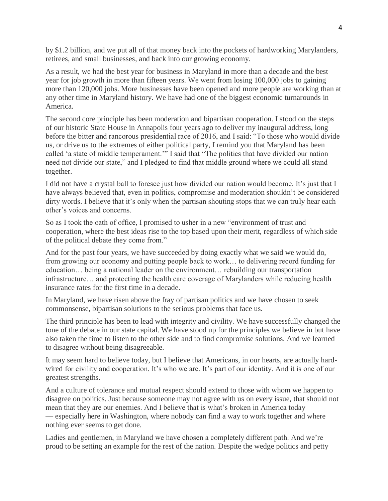by \$1.2 billion, and we put all of that money back into the pockets of hardworking Marylanders, retirees, and small businesses, and back into our growing economy.

As a result, we had the best year for business in Maryland in more than a decade and the best year for job growth in more than fifteen years. We went from losing 100,000 jobs to gaining more than 120,000 jobs. More businesses have been opened and more people are working than at any other time in Maryland history. We have had one of the biggest economic turnarounds in America.

The second core principle has been moderation and bipartisan cooperation. I stood on the steps of our historic State House in Annapolis four years ago to deliver my inaugural address, long before the bitter and rancorous presidential race of 2016, and I said: "To those who would divide us, or drive us to the extremes of either political party, I remind you that Maryland has been called 'a state of middle temperament.'" I said that "The politics that have divided our nation need not divide our state," and I pledged to find that middle ground where we could all stand together.

I did not have a crystal ball to foresee just how divided our nation would become. It's just that I have always believed that, even in politics, compromise and moderation shouldn't be considered dirty words. I believe that it's only when the partisan shouting stops that we can truly hear each other's voices and concerns.

So as I took the oath of office, I promised to usher in a new "environment of trust and cooperation, where the best ideas rise to the top based upon their merit, regardless of which side of the political debate they come from."

And for the past four years, we have succeeded by doing exactly what we said we would do, from growing our economy and putting people back to work… to delivering record funding for education… being a national leader on the environment… rebuilding our transportation infrastructure… and protecting the health care coverage of Marylanders while reducing health insurance rates for the first time in a decade.

In Maryland, we have risen above the fray of partisan politics and we have chosen to seek commonsense, bipartisan solutions to the serious problems that face us.

The third principle has been to lead with integrity and civility. We have successfully changed the tone of the debate in our state capital. We have stood up for the principles we believe in but have also taken the time to listen to the other side and to find compromise solutions. And we learned to disagree without being disagreeable.

It may seem hard to believe today, but I believe that Americans, in our hearts, are actually hardwired for civility and cooperation. It's who we are. It's part of our identity. And it is one of our greatest strengths.

And a culture of tolerance and mutual respect should extend to those with whom we happen to disagree on politics. Just because someone may not agree with us on every issue, that should not mean that they are our enemies. And I believe that is what's broken in America today — especially here in Washington, where nobody can find a way to work together and where nothing ever seems to get done.

Ladies and gentlemen, in Maryland we have chosen a completely different path. And we're proud to be setting an example for the rest of the nation. Despite the wedge politics and petty